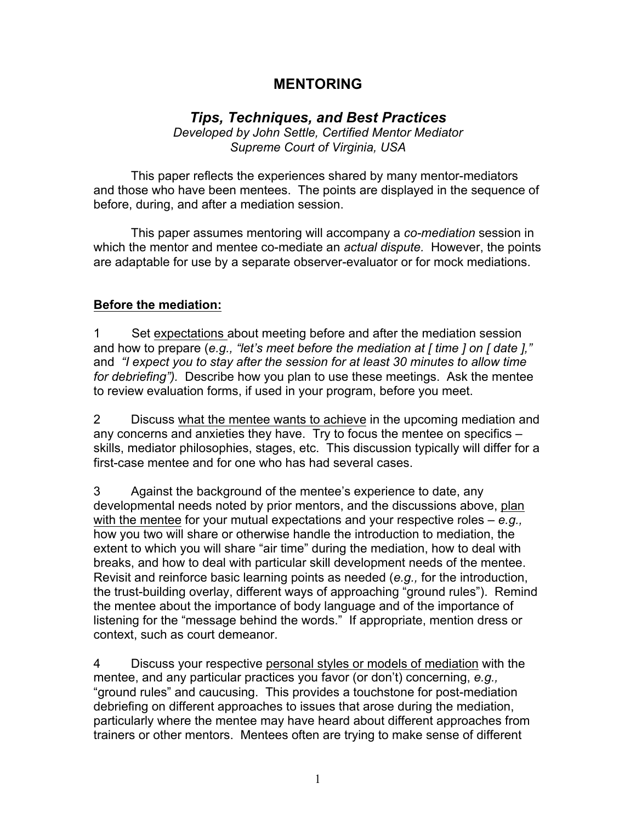## **MENTORING**

# *Tips, Techniques, and Best Practices*

*Developed by John Settle, Certified Mentor Mediator Supreme Court of Virginia, USA*

This paper reflects the experiences shared by many mentor-mediators and those who have been mentees. The points are displayed in the sequence of before, during, and after a mediation session.

This paper assumes mentoring will accompany a *co-mediation* session in which the mentor and mentee co-mediate an *actual dispute.* However, the points are adaptable for use by a separate observer-evaluator or for mock mediations.

#### **Before the mediation:**

1 Set expectations about meeting before and after the mediation session and how to prepare (*e.g., "let's meet before the mediation at [ time ] on [ date ],"* and *"I expect you to stay after the session for at least 30 minutes to allow time for debriefing").* Describe how you plan to use these meetings. Ask the mentee to review evaluation forms, if used in your program, before you meet.

2 Discuss what the mentee wants to achieve in the upcoming mediation and any concerns and anxieties they have. Try to focus the mentee on specifics – skills, mediator philosophies, stages, etc. This discussion typically will differ for a first-case mentee and for one who has had several cases.

3 Against the background of the mentee's experience to date, any developmental needs noted by prior mentors, and the discussions above, plan with the mentee for your mutual expectations and your respective roles – *e.g.,* how you two will share or otherwise handle the introduction to mediation, the extent to which you will share "air time" during the mediation, how to deal with breaks, and how to deal with particular skill development needs of the mentee. Revisit and reinforce basic learning points as needed (*e.g.,* for the introduction, the trust-building overlay, different ways of approaching "ground rules"). Remind the mentee about the importance of body language and of the importance of listening for the "message behind the words." If appropriate, mention dress or context, such as court demeanor.

4 Discuss your respective personal styles or models of mediation with the mentee, and any particular practices you favor (or don't) concerning, *e.g.,*  "ground rules" and caucusing. This provides a touchstone for post-mediation debriefing on different approaches to issues that arose during the mediation, particularly where the mentee may have heard about different approaches from trainers or other mentors. Mentees often are trying to make sense of different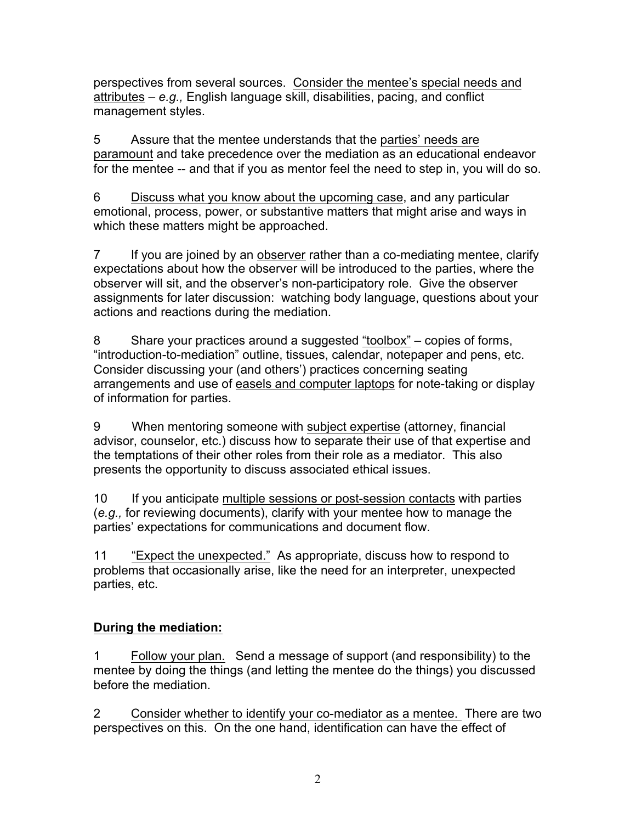perspectives from several sources. Consider the mentee's special needs and attributes – *e.g.,* English language skill, disabilities, pacing, and conflict management styles.

5 Assure that the mentee understands that the parties' needs are paramount and take precedence over the mediation as an educational endeavor for the mentee -- and that if you as mentor feel the need to step in, you will do so.

6 Discuss what you know about the upcoming case, and any particular emotional, process, power, or substantive matters that might arise and ways in which these matters might be approached.

7 If you are joined by an observer rather than a co-mediating mentee, clarify expectations about how the observer will be introduced to the parties, where the observer will sit, and the observer's non-participatory role. Give the observer assignments for later discussion: watching body language, questions about your actions and reactions during the mediation.

8 Share your practices around a suggested "toolbox" – copies of forms, "introduction-to-mediation" outline, tissues, calendar, notepaper and pens, etc. Consider discussing your (and others') practices concerning seating arrangements and use of easels and computer laptops for note-taking or display of information for parties.

9 When mentoring someone with subject expertise (attorney, financial advisor, counselor, etc.) discuss how to separate their use of that expertise and the temptations of their other roles from their role as a mediator. This also presents the opportunity to discuss associated ethical issues.

10 If you anticipate multiple sessions or post-session contacts with parties (*e.g.,* for reviewing documents), clarify with your mentee how to manage the parties' expectations for communications and document flow.

11 "Expect the unexpected." As appropriate, discuss how to respond to problems that occasionally arise, like the need for an interpreter, unexpected parties, etc.

### **During the mediation:**

1 Follow your plan. Send a message of support (and responsibility) to the mentee by doing the things (and letting the mentee do the things) you discussed before the mediation.

2 Consider whether to identify your co-mediator as a mentee. There are two perspectives on this. On the one hand, identification can have the effect of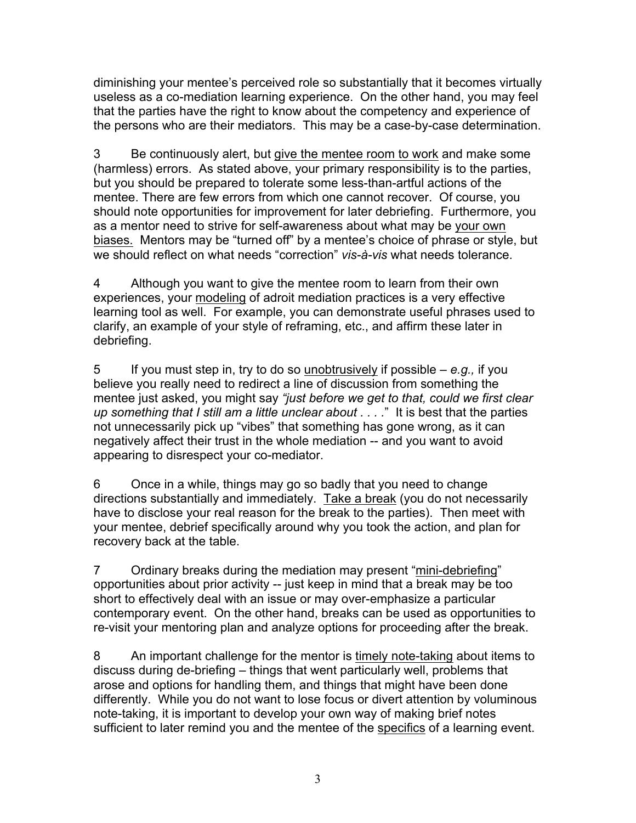diminishing your mentee's perceived role so substantially that it becomes virtually useless as a co-mediation learning experience. On the other hand, you may feel that the parties have the right to know about the competency and experience of the persons who are their mediators. This may be a case-by-case determination.

3 Be continuously alert, but give the mentee room to work and make some (harmless) errors. As stated above, your primary responsibility is to the parties, but you should be prepared to tolerate some less-than-artful actions of the mentee. There are few errors from which one cannot recover. Of course, you should note opportunities for improvement for later debriefing. Furthermore, you as a mentor need to strive for self-awareness about what may be your own biases. Mentors may be "turned off" by a mentee's choice of phrase or style, but we should reflect on what needs "correction" *vis-à-vis* what needs tolerance.

4 Although you want to give the mentee room to learn from their own experiences, your modeling of adroit mediation practices is a very effective learning tool as well. For example, you can demonstrate useful phrases used to clarify, an example of your style of reframing, etc., and affirm these later in debriefing.

5 If you must step in, try to do so unobtrusively if possible – *e.g.,* if you believe you really need to redirect a line of discussion from something the mentee just asked, you might say *"just before we get to that, could we first clear up something that I still am a little unclear about . . . .*" It is best that the parties not unnecessarily pick up "vibes" that something has gone wrong, as it can negatively affect their trust in the whole mediation -- and you want to avoid appearing to disrespect your co-mediator.

6 Once in a while, things may go so badly that you need to change directions substantially and immediately. Take a break (you do not necessarily have to disclose your real reason for the break to the parties). Then meet with your mentee, debrief specifically around why you took the action, and plan for recovery back at the table.

7 Ordinary breaks during the mediation may present "mini-debriefing" opportunities about prior activity -- just keep in mind that a break may be too short to effectively deal with an issue or may over-emphasize a particular contemporary event. On the other hand, breaks can be used as opportunities to re-visit your mentoring plan and analyze options for proceeding after the break.

8 An important challenge for the mentor is timely note-taking about items to discuss during de-briefing – things that went particularly well, problems that arose and options for handling them, and things that might have been done differently. While you do not want to lose focus or divert attention by voluminous note-taking, it is important to develop your own way of making brief notes sufficient to later remind you and the mentee of the specifics of a learning event.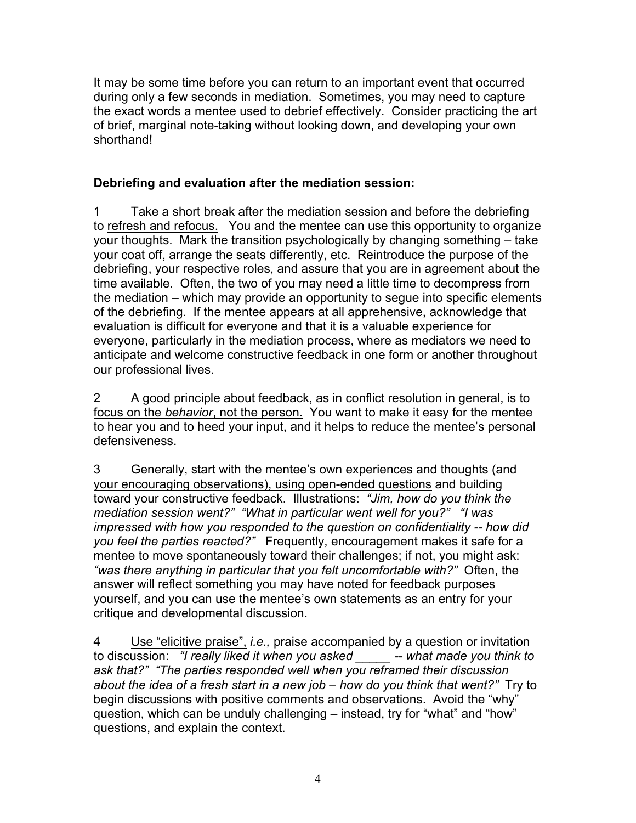It may be some time before you can return to an important event that occurred during only a few seconds in mediation. Sometimes, you may need to capture the exact words a mentee used to debrief effectively. Consider practicing the art of brief, marginal note-taking without looking down, and developing your own shorthand!

#### **Debriefing and evaluation after the mediation session:**

1 Take a short break after the mediation session and before the debriefing to refresh and refocus. You and the mentee can use this opportunity to organize your thoughts. Mark the transition psychologically by changing something – take your coat off, arrange the seats differently, etc. Reintroduce the purpose of the debriefing, your respective roles, and assure that you are in agreement about the time available. Often, the two of you may need a little time to decompress from the mediation – which may provide an opportunity to segue into specific elements of the debriefing. If the mentee appears at all apprehensive, acknowledge that evaluation is difficult for everyone and that it is a valuable experience for everyone, particularly in the mediation process, where as mediators we need to anticipate and welcome constructive feedback in one form or another throughout our professional lives.

2 A good principle about feedback, as in conflict resolution in general, is to focus on the *behavior*, not the person. You want to make it easy for the mentee to hear you and to heed your input, and it helps to reduce the mentee's personal defensiveness.

3 Generally, start with the mentee's own experiences and thoughts (and your encouraging observations), using open-ended questions and building toward your constructive feedback. Illustrations: *"Jim, how do you think the mediation session went?" "What in particular went well for you?" "I was impressed with how you responded to the question on confidentiality -- how did you feel the parties reacted?"* Frequently, encouragement makes it safe for a mentee to move spontaneously toward their challenges; if not, you might ask: *"was there anything in particular that you felt uncomfortable with?"* Often, the answer will reflect something you may have noted for feedback purposes yourself, and you can use the mentee's own statements as an entry for your critique and developmental discussion.

4 Use "elicitive praise", *i.e.,* praise accompanied by a question or invitation to discussion: *"I really liked it when you asked \_\_\_\_\_ -- what made you think to ask that?" "The parties responded well when you reframed their discussion about the idea of a fresh start in a new job – how do you think that went?"* Try to begin discussions with positive comments and observations. Avoid the "why" question, which can be unduly challenging – instead, try for "what" and "how" questions, and explain the context.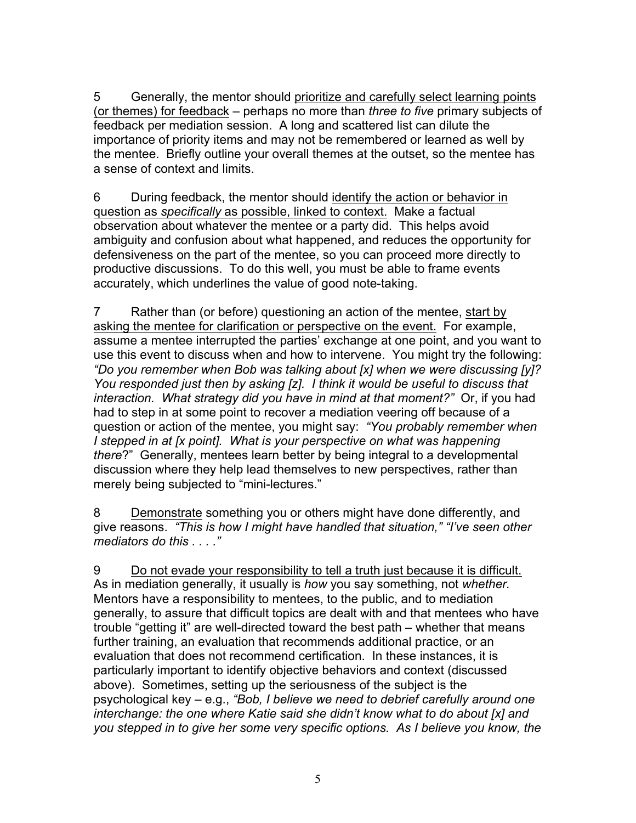5 Generally, the mentor should prioritize and carefully select learning points (or themes) for feedback – perhaps no more than *three to five* primary subjects of feedback per mediation session. A long and scattered list can dilute the importance of priority items and may not be remembered or learned as well by the mentee. Briefly outline your overall themes at the outset, so the mentee has a sense of context and limits.

6 During feedback, the mentor should identify the action or behavior in question as *specifically* as possible, linked to context. Make a factual observation about whatever the mentee or a party did. This helps avoid ambiguity and confusion about what happened, and reduces the opportunity for defensiveness on the part of the mentee, so you can proceed more directly to productive discussions. To do this well, you must be able to frame events accurately, which underlines the value of good note-taking.

7 Rather than (or before) questioning an action of the mentee, start by asking the mentee for clarification or perspective on the event. For example, assume a mentee interrupted the parties' exchange at one point, and you want to use this event to discuss when and how to intervene. You might try the following: *"Do you remember when Bob was talking about [x] when we were discussing [y]? You responded just then by asking [z]. I think it would be useful to discuss that interaction. What strategy did you have in mind at that moment?"* Or, if you had had to step in at some point to recover a mediation veering off because of a question or action of the mentee, you might say: *"You probably remember when I* stepped in at [x point]. What is your perspective on what was happening *there*?" Generally, mentees learn better by being integral to a developmental discussion where they help lead themselves to new perspectives, rather than merely being subjected to "mini-lectures."

8 Demonstrate something you or others might have done differently, and give reasons. *"This is how I might have handled that situation," "I've seen other mediators do this . . . ."*

9 Do not evade your responsibility to tell a truth just because it is difficult. As in mediation generally, it usually is *how* you say something, not *whether.* Mentors have a responsibility to mentees, to the public, and to mediation generally, to assure that difficult topics are dealt with and that mentees who have trouble "getting it" are well-directed toward the best path – whether that means further training, an evaluation that recommends additional practice, or an evaluation that does not recommend certification. In these instances, it is particularly important to identify objective behaviors and context (discussed above). Sometimes, setting up the seriousness of the subject is the psychological key – e.g., *"Bob, I believe we need to debrief carefully around one interchange: the one where Katie said she didn't know what to do about [x] and you stepped in to give her some very specific options. As I believe you know, the*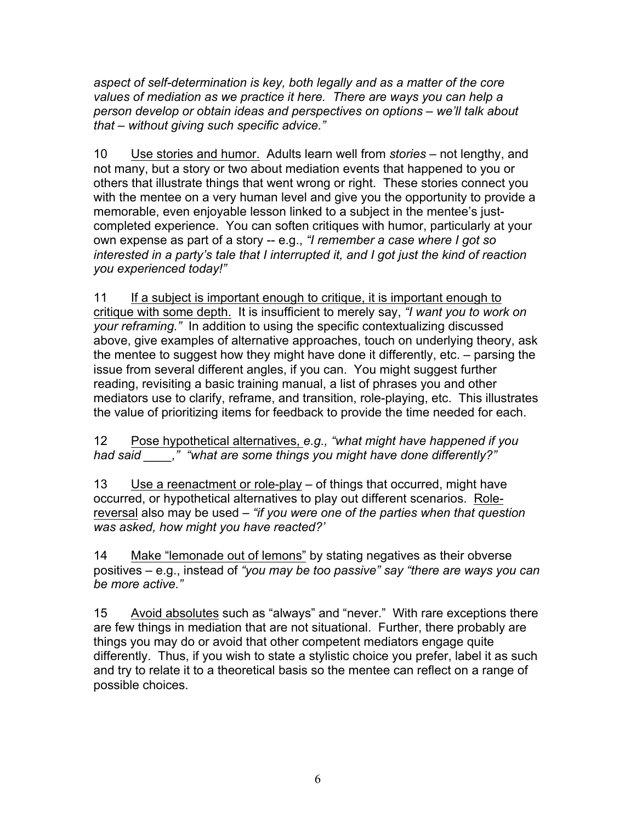*aspect of self-determination is key, both legally and as a matter of the core values of mediation as we practice it here. There are ways you can help a person develop or obtain ideas and perspectives on options – we'll talk about that – without giving such specific advice."*

10 Use stories and humor. Adults learn well from *stories* – not lengthy, and not many, but a story or two about mediation events that happened to you or others that illustrate things that went wrong or right. These stories connect you with the mentee on a very human level and give you the opportunity to provide a memorable, even enjoyable lesson linked to a subject in the mentee's justcompleted experience. You can soften critiques with humor, particularly at your own expense as part of a story -- e.g., *"I remember a case where I got so interested in a party's tale that I interrupted it, and I got just the kind of reaction you experienced today!"*

11 If a subject is important enough to critique, it is important enough to critique with some depth. It is insufficient to merely say, *"I want you to work on your reframing."* In addition to using the specific contextualizing discussed above, give examples of alternative approaches, touch on underlying theory, ask the mentee to suggest how they might have done it differently, etc. – parsing the issue from several different angles, if you can. You might suggest further reading, revisiting a basic training manual, a list of phrases you and other mediators use to clarify, reframe, and transition, role-playing, etc. This illustrates the value of prioritizing items for feedback to provide the time needed for each.

12 Pose hypothetical alternatives, *e.g., "what might have happened if you had said \_\_\_\_," "what are some things you might have done differently?"*

13 Use a reenactment or role-play – of things that occurred, might have occurred, or hypothetical alternatives to play out different scenarios. Rolereversal also may be used – *"if you were one of the parties when that question was asked, how might you have reacted?'*

14 Make "lemonade out of lemons" by stating negatives as their obverse positives – e.g., instead of *"you may be too passive" say "there are ways you can be more active."* 

15 Avoid absolutes such as "always" and "never." With rare exceptions there are few things in mediation that are not situational. Further, there probably are things you may do or avoid that other competent mediators engage quite differently. Thus, if you wish to state a stylistic choice you prefer, label it as such and try to relate it to a theoretical basis so the mentee can reflect on a range of possible choices.